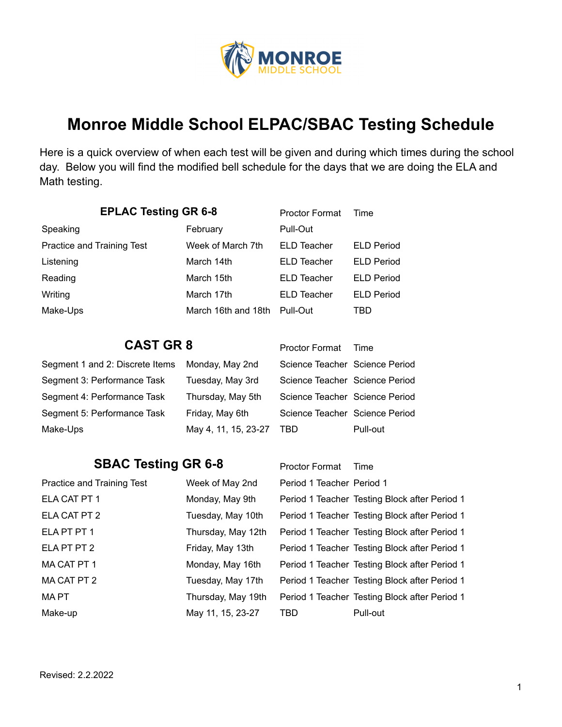

## **Monroe Middle School ELPAC/SBAC Testing Schedule**

Here is a quick overview of when each test will be given and during which times during the school day. Below you will find the modified bell schedule for the days that we are doing the ELA and Math testing.

| <b>EPLAC Testing GR 6-8</b>     |                      | <b>Proctor Format</b>          | Time                                          |
|---------------------------------|----------------------|--------------------------------|-----------------------------------------------|
| Speaking                        | February             | Pull-Out                       |                                               |
| Practice and Training Test      | Week of March 7th    | <b>ELD Teacher</b>             | <b>ELD Period</b>                             |
| Listening                       | March 14th           | ELD Teacher                    | <b>ELD Period</b>                             |
| Reading                         | March 15th           | ELD Teacher                    | <b>ELD Period</b>                             |
| Writing                         | March 17th           | ELD Teacher                    | <b>ELD Period</b>                             |
| Make-Ups                        | March 16th and 18th  | Pull-Out                       | TBD                                           |
|                                 |                      |                                |                                               |
| <b>CAST GR 8</b>                |                      | <b>Proctor Format</b>          | Time                                          |
| Segment 1 and 2: Discrete Items | Monday, May 2nd      | Science Teacher Science Period |                                               |
| Segment 3: Performance Task     | Tuesday, May 3rd     | Science Teacher Science Period |                                               |
| Segment 4: Performance Task     | Thursday, May 5th    | Science Teacher Science Period |                                               |
| Segment 5: Performance Task     | Friday, May 6th      | Science Teacher Science Period |                                               |
| Make-Ups                        | May 4, 11, 15, 23-27 | <b>TBD</b>                     | Pull-out                                      |
|                                 |                      |                                |                                               |
| <b>SBAC Testing GR 6-8</b>      |                      | <b>Proctor Format</b>          | Time                                          |
| Practice and Training Test      | Week of May 2nd      | Period 1 Teacher Period 1      |                                               |
| ELA CAT PT 1                    | Monday, May 9th      |                                | Period 1 Teacher Testing Block after Period 1 |
| ELA CAT PT 2                    | Tuesday, May 10th    |                                | Period 1 Teacher Testing Block after Period 1 |
| ELA PT PT 1                     | Thursday, May 12th   |                                | Period 1 Teacher Testing Block after Period 1 |
| ELA PT PT 2                     | Friday, May 13th     |                                | Period 1 Teacher Testing Block after Period 1 |
| MA CAT PT 1                     | Monday, May 16th     |                                | Period 1 Teacher Testing Block after Period 1 |
| MA CAT PT 2                     | Tuesday, May 17th    |                                | Period 1 Teacher Testing Block after Period 1 |
| <b>MAPT</b>                     | Thursday, May 19th   |                                | Period 1 Teacher Testing Block after Period 1 |

Make-up May 11, 15, 23-27 TBD Pull-out